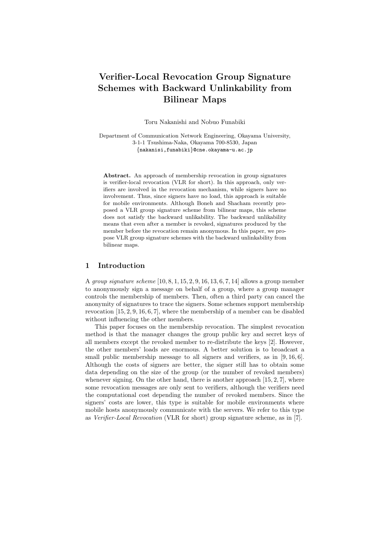# **Verifier-Local Revocation Group Signature Schemes with Backward Unlinkability from Bilinear Maps**

Toru Nakanishi and Nobuo Funabiki

Department of Communication Network Engineering, Okayama University, 3-1-1 Tsushima-Naka, Okayama 700-8530, Japan *{*nakanisi,funabiki*}*@cne.okayama-u.ac.jp

**Abstract.** An approach of membership revocation in group signatures is verifier-local revocation (VLR for short). In this approach, only verifiers are involved in the revocation mechanism, while signers have no involvement. Thus, since signers have no load, this approach is suitable for mobile environments. Although Boneh and Shacham recently proposed a VLR group signature scheme from bilinear maps, this scheme does not satisfy the backward unlikability. The backward unlikability means that even after a member is revoked, signatures produced by the member before the revocation remain anonymous. In this paper, we propose VLR group signature schemes with the backward unlinkability from bilinear maps.

## **1 Introduction**

A *group signature scheme* [10, 8, 1, 15, 2, 9, 16, 13, 6, 7, 14] allows a group member to anonymously sign a message on behalf of a group, where a group manager controls the membership of members. Then, often a third party can cancel the anonymity of signatures to trace the signers. Some schemes support membership revocation [15, 2, 9, 16, 6, 7], where the membership of a member can be disabled without influencing the other members.

This paper focuses on the membership revocation. The simplest revocation method is that the manager changes the group public key and secret keys of all members except the revoked member to re-distribute the keys [2]. However, the other members' loads are enormous. A better solution is to broadcast a small public membership message to all signers and verifiers, as in [9, 16, 6]. Although the costs of signers are better, the signer still has to obtain some data depending on the size of the group (or the number of revoked members) whenever signing. On the other hand, there is another approach  $[15, 2, 7]$ , where some revocation messages are only sent to verifiers, although the verifiers need the computational cost depending the number of revoked members. Since the signers' costs are lower, this type is suitable for mobile environments where mobile hosts anonymously communicate with the servers. We refer to this type as *Verifier-Local Revocation* (VLR for short) group signature scheme, as in [7].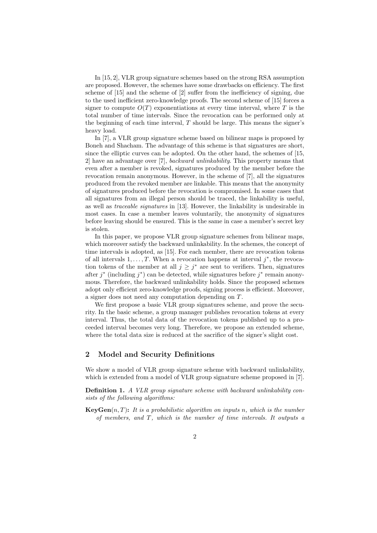In [15, 2], VLR group signature schemes based on the strong RSA assumption are proposed. However, the schemes have some drawbacks on efficiency. The first scheme of [15] and the scheme of [2] suffer from the inefficiency of signing, due to the used inefficient zero-knowledge proofs. The second scheme of [15] forces a signer to compute  $O(T)$  exponentiations at every time interval, where T is the total number of time intervals. Since the revocation can be performed only at the beginning of each time interval, *T* should be large. This means the signer's heavy load.

In [7], a VLR group signature scheme based on bilinear maps is proposed by Boneh and Shacham. The advantage of this scheme is that signatures are short, since the elliptic curves can be adopted. On the other hand, the schemes of [15, 2] have an advantage over [7], *backward unlinkability*. This property means that even after a member is revoked, signatures produced by the member before the revocation remain anonymous. However, in the scheme of [7], all the signatures produced from the revoked member are linkable. This means that the anonymity of signatures produced before the revocation is compromised. In some cases that all signatures from an illegal person should be traced, the linkability is useful, as well as *traceable signatures* in [13]. However, the linkability is undesirable in most cases. In case a member leaves voluntarily, the anonymity of signatures before leaving should be ensured. This is the same in case a member's secret key is stolen.

In this paper, we propose VLR group signature schemes from bilinear maps, which moreover satisfy the backward unlinkability. In the schemes, the concept of time intervals is adopted, as [15]. For each member, there are revocation tokens of all intervals  $1, \ldots, T$ . When a revocation happens at interval  $j^*$ , the revocation tokens of the member at all  $j \geq j^*$  are sent to verifiers. Then, signatures after *j ∗* (including *j ∗* ) can be detected, while signatures before *j ∗* remain anonymous. Therefore, the backward unlinkability holds. Since the proposed schemes adopt only efficient zero-knowledge proofs, signing process is efficient. Moreover, a signer does not need any computation depending on *T*.

We first propose a basic VLR group signatures scheme, and prove the security. In the basic scheme, a group manager publishes revocation tokens at every interval. Thus, the total data of the revocation tokens published up to a proceeded interval becomes very long. Therefore, we propose an extended scheme, where the total data size is reduced at the sacrifice of the signer's slight cost.

# **2 Model and Security Definitions**

We show a model of VLR group signature scheme with backward unlinkability, which is extended from a model of VLR group signature scheme proposed in [7].

**Definition 1.** *A VLR group signature scheme with backward unlinkability consists of the following algorithms:*

**KeyGen**(*n, T*)**:** *It is a probabilistic algorithm on inputs n, which is the number of members, and T, which is the number of time intervals. It outputs a*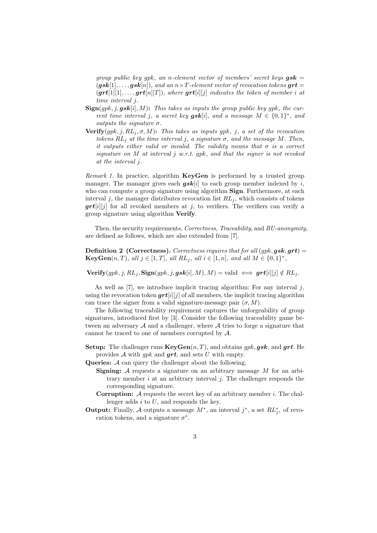*group public key gpk, an n-element vector of members' secret keys gsk* =  $(gsk[1], \ldots, gsk[n]),$  and an  $n \times T$ -element vector of revocation tokens  $grt =$  $(\textbf{grt}[1][1], \ldots, \textbf{grt}[n][T])$ , where  $\textbf{grt}[i][j]$  *indicates the token of member i at time interval j.*

- **Sign**(*gpk, j, gsk*[*i*]*, M*)**:** *This takes as inputs the group public key gpk, the current time interval j*, *a secret key*  $gsk[i]$ *, and a message*  $M \in \{0,1\}^*$ *, and outputs the signature*  $\sigma$ *.*
- **Verify** $(gpk, j, RL_j, \sigma, M)$ : *This takes as inputs gpk, j, a set of the revocation tokens*  $RL_j$  *at the time interval j*, *a signature*  $\sigma$ *, and the message*  $M$ *. Then, it outputs either valid or invalid. The validity means that*  $\sigma$  *is a correct signature on M at interval j w.r.t. gpk, and that the signer is not revoked at the interval j.*

*Remark 1.* In practice, algorithm **KeyGen** is performed by a trusted group manager. The manager gives each  $gsk[i]$  to each group member indexed by *i*, who can compute a group signature using algorithm **Sign**. Furthermore, at each interval  $j$ , the manager distributes revocation list  $RL_j$ , which consists of tokens *grt*[*i*][*j*] for all revoked members at *j*, to verifiers. The verifiers can verify a group signature using algorithm **Verify**.

Then, the security requirements, *Correctness, Traceability*, and *BU-anonymity*, are defined as follows, which are also extended from [7].

**Definition 2** (Correctness). *Correctness requires that for all*  $(gpk, gsk, grt)$  = **KeyGen** $(n, T)$ , all  $j \in [1, T]$ , all  $RL_j$ , all  $i \in [1, n]$ , and all  $M \in \{0, 1\}^*$ ,

 $\text{Verify}(gpk, j, RL_j, \text{Sign}(gpk, j, gsk[i], M), M) = \text{valid} \iff \text{grt}[i][j] \notin RL_j$ .

As well as [7], we introduce implicit tracing algorithm: For any interval *j*, using the revocation token  $grt[i][j]$  of all members, the implicit tracing algorithm can trace the signer from a valid signature-message pair  $(\sigma, M)$ .

The following traceability requirement captures the unforgeability of group signatures, introduced first by [3]. Consider the following traceability game between an adversary *A* and a challenger, where *A* tries to forge a signature that cannot be traced to one of members corrupted by *A*.

- **Setup:** The challenger runs **KeyGen**(*n, T*), and obtains *gpk, gsk*, and *grt*. He provides *A* with *gpk* and *grt*, and sets *U* with empty.
- **Queries:** *A* can query the challenger about the following.
	- **Signing:** *A* requests a signature on an arbitrary message *M* for an arbitrary member *i* at an arbitrary interval *j*. The challenger responds the corresponding signature.
	- **Corruption:** *A* requests the secret key of an arbitrary member *i*. The challenger adds *i* to *U*, and responds the key.
- **Output:** Finally, *A* outputs a message  $M^*$ , an interval  $j^*$ , a set  $RL_{j^*}^*$  of revocation tokens, and a signature  $\sigma^*$ .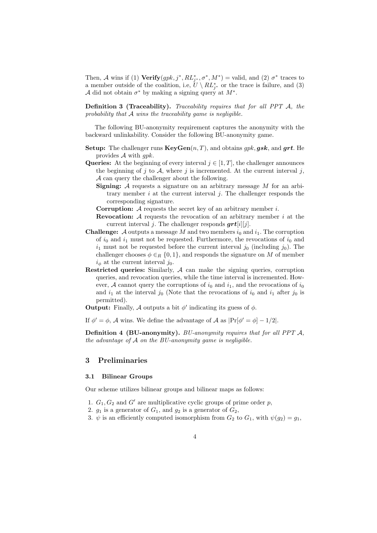Then, *A* wins if (1) **Verify** $(gpk, j^*, RL^*_{j^*}, \sigma^*, M^*)$  = valid, and (2)  $\sigma^*$  traces to a member outside of the coalition, i.e,  $U \setminus RL_{j^*}^*$  or the trace is failure, and (3) *A* did not obtain  $\sigma^*$  by making a signing query at  $M^*$ .

**Definition 3 (Traceability).** *Traceability requires that for all PPT A, the probability that A wins the traceability game is negligible.*

The following BU-anonymity requirement captures the anonymity with the backward unlinkability. Consider the following BU-anonymity game.

- **Setup:** The challenger runs  $\mathbf{KeyGen}(n, T)$ , and obtains  $gpk, gsk$ , and  $grt$ . He provides *A* with *gpk*.
- **Queries:** At the beginning of every interval  $j \in [1, T]$ , the challenger announces the beginning of  $j$  to  $A$ , where  $j$  is incremented. At the current interval  $j$ , *A* can query the challenger about the following.
	- **Signing:** *A* requests a signature on an arbitrary message *M* for an arbitrary member *i* at the current interval *j*. The challenger responds the corresponding signature.
	- **Corruption:** *A* requests the secret key of an arbitrary member *i*.
	- **Revocation:** *A* requests the revocation of an arbitrary member *i* at the current interval *j*. The challenger responds *grt*[*i*][*j*].
- **Challenge:**  $\mathcal A$  outputs a message  $M$  and two members  $i_0$  and  $i_1$ . The corruption of  $i_0$  and  $i_1$  must not be requested. Furthermore, the revocations of  $i_0$  and  $i_1$  must not be requested before the current interval  $j_0$  (including  $j_0$ ). The challenger chooses  $\phi \in_R \{0,1\}$ , and responds the signature on *M* of member  $i_{\phi}$  at the current interval  $j_0$ .
- **Restricted queries:** Similarly, *A* can make the signing queries, corruption queries, and revocation queries, while the time interval is incremented. However,  $A$  cannot query the corruptions of  $i_0$  and  $i_1$ , and the revocations of  $i_0$ and  $i_1$  at the interval  $j_0$  (Note that the revocations of  $i_0$  and  $i_1$  after  $j_0$  is permitted).

**Output:** Finally, *A* outputs a bit  $\phi'$  indicating its guess of  $\phi$ .

If  $\phi' = \phi$ , *A* wins. We define the advantage of *A* as  $|\Pr[\phi' = \phi] - 1/2|$ .

**Definition 4 (BU-anonymity).** *BU-anonymity requires that for all PPT A, the advantage of A on the BU-anonymity game is negligible.*

# **3 Preliminaries**

## **3.1 Bilinear Groups**

Our scheme utilizes bilinear groups and bilinear maps as follows:

- 1.  $G_1, G_2$  and  $G'$  are multiplicative cyclic groups of prime order  $p$ ,
- 2.  $g_1$  is a generator of  $G_1$ , and  $g_2$  is a generator of  $G_2$ ,
- 3.  $\psi$  is an efficiently computed isomorphism from  $G_2$  to  $G_1$ , with  $\psi(g_2) = g_1$ ,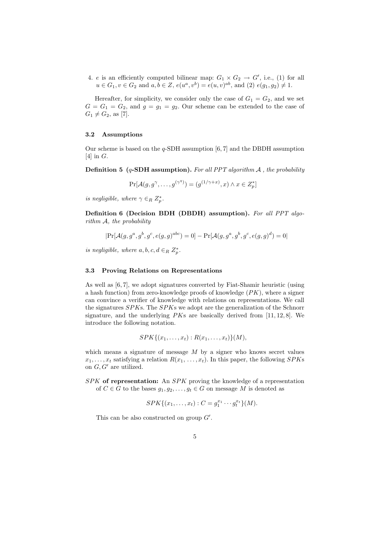4. *e* is an efficiently computed bilinear map:  $G_1 \times G_2 \rightarrow G'$ , i.e., (1) for all  $u \in G_1, v \in G_2$  and  $a, b \in Z$ ,  $e(u^a, v^b) = e(u, v)^{ab}$ , and (2)  $e(g_1, g_2) \neq 1$ .

Hereafter, for simplicity, we consider only the case of  $G_1 = G_2$ , and we set  $G = G_1 = G_2$ , and  $g = g_1 = g_2$ . Our scheme can be extended to the case of  $G_1 \neq G_2$ , as [7].

## **3.2 Assumptions**

Our scheme is based on the *q*-SDH assumption [6, 7] and the DBDH assumption [4] in *G*.

**Definition 5 (***q***-SDH assumption).** *For all PPT algorithm A , the probability*

$$
\Pr[\mathcal{A}(g, g^{\gamma}, \dots, g^{(\gamma^q)}) = (g^{(1/\gamma + x)}, x) \land x \in Z_p^*]
$$

*is negligible, where*  $\gamma \in R$   $Z_p^*$ *.* 

**Definition 6 (Decision BDH (DBDH) assumption).** *For all PPT algorithm A, the probability*

$$
|\Pr[\mathcal{A}(g, g^a, g^b, g^c, e(g, g)^{abc}) = 0] - \Pr[\mathcal{A}(g, g^a, g^b, g^c, e(g, g)^d) = 0]
$$

*is negligible, where*  $a, b, c, d \in_R Z_p^*$ .

#### **3.3 Proving Relations on Representations**

As well as [6, 7], we adopt signatures converted by Fiat-Shamir heuristic (using a hash function) from zero-knowledge proofs of knowledge (*PK*), where a signer can convince a verifier of knowledge with relations on representations. We call the signatures *SPK*s. The *SPK*s we adopt are the generalization of the Schnorr signature, and the underlying *PK*s are basically derived from [11, 12, 8]. We introduce the following notation.

$$
SPK\{(x_1,\ldots,x_t): R(x_1,\ldots,x_t)\}(M),
$$

which means a signature of message *M* by a signer who knows secret values  $x_1, \ldots, x_t$  satisfying a relation  $R(x_1, \ldots, x_t)$ . In this paper, the following *SPK*s on  $G, G'$  are utilized.

*SPK* **of representation:** An *SPK* proving the knowledge of a representation of  $C \in G$  to the bases  $g_1, g_2, \ldots, g_t \in G$  on message  $M$  is denoted as

$$
SPK\{(x_1,\ldots,x_t): C=g_1^{x_1}\cdots g_t^{x_t}\}(M).
$$

This can be also constructed on group  $G'$ .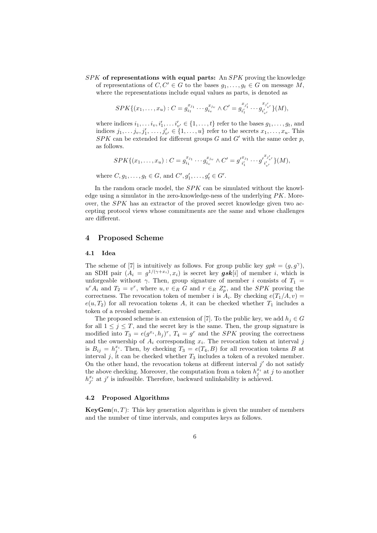*SPK* **of representations with equal parts:** An *SPK* proving the knowledge of representations of  $C, C' \in G$  to the bases  $g_1, \ldots, g_t \in G$  on message  $M$ , where the representations include equal values as parts, is denoted as

$$
SPK\{(x_1,\ldots,x_u): C=g_{i_1}^{x_{j_1}}\cdots g_{i_v}^{x_{j_v}} \wedge C'=g_{i'_1}^{x_{j'_1}}\cdots g_{i'_{v'}}^{x_{j'_{v'}}}\}(M),
$$

where indices  $i_1, \ldots, i_v, i'_1, \ldots, i'_{v'} \in \{1, \ldots, t\}$  refer to the bases  $g_1, \ldots, g_t$ , and indices  $j_1, \ldots, j_v, j'_1, \ldots, j'_{v'} \in \{1, \ldots, u\}$  refer to the secrets  $x_1, \ldots, x_u$ . This  $SPK$  can be extended for different groups  $G$  and  $G'$  with the same order  $p$ , as follows.

$$
SPK\{(x_1,\ldots,x_u): C=g_{i_1}^{x_{j_1}}\cdots g_{i_v}^{x_{j_v}} \wedge C'=g'_{i'_1}^{x_{j_1}}\cdots g'_{i'_{v'}}^{x_{j'_{v'}}}\}(M),
$$

where  $C, g_1, \ldots, g_t \in G$ , and  $C', g'_1, \ldots, g'_t \in G'$ .

In the random oracle model, the *SPK* can be simulated without the knowledge using a simulator in the zero-knowledge-ness of the underlying *PK*. Moreover, the *SPK* has an extractor of the proved secret knowledge given two accepting protocol views whose commitments are the same and whose challenges are different.

# **4 Proposed Scheme**

#### **4.1 Idea**

The scheme of [7] is intuitively as follows. For group public key  $gpk = (g, g<sup>γ</sup>)$ , an SDH pair  $(A_i = g^{1/(\gamma + x_i)}, x_i)$  is secret key **gsk**[*i*] of member *i*, which is unforgeable without  $\gamma$ . Then, group signature of member *i* consists of  $T_1$  =  $u^r A_i$  and  $T_2 = v^r$ , where  $u, v \in_R G$  and  $r \in_R Z_p^*$ , and the *SPK* proving the correctness. The revocation token of member *i* is  $A_i$ . By checking  $e(T_1/A, v)$  =  $e(u, T_2)$  for all revocation tokens *A*, it can be checked whether  $T_1$  includes a token of a revoked member.

The proposed scheme is an extension of [7]. To the public key, we add  $h_j \in G$ for all  $1 \leq j \leq T$ , and the secret key is the same. Then, the group signature is modified into  $T_3 = e(g^{x_i}, h_j)^r$ ,  $T_4 = g^r$  and the *SPK* proving the correctness and the ownership of *A<sup>i</sup>* corresponding *x<sup>i</sup>* . The revocation token at interval *j* is  $B_{ij} = h_j^{x_i}$ . Then, by checking  $T_3 = e(T_4, B)$  for all revocation tokens *B* at interval  $j$ , it can be checked whether  $T_3$  includes a token of a revoked member. On the other hand, the revocation tokens at different interval  $j'$  do not satisfy the above checking. Moreover, the computation from a token  $h_j^{x_i}$  at *j* to another  $h_{j'}^{x_i}$  at *j*' is infeasible. Therefore, backward unlinkability is achieved.

## **4.2 Proposed Algorithms**

**KeyGen** $(n, T)$ : This key generation algorithm is given the number of members and the number of time intervals, and computes keys as follows.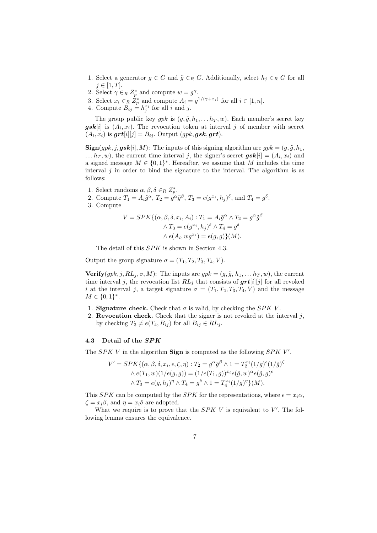- 1. Select a generator  $g \in G$  and  $\tilde{g} \in_R G$ . Additionally, select  $h_j \in_R G$  for all  $j ∈ [1, T]$ .
- 2. Select  $\gamma \in_R Z_p^*$  and compute  $w = g^{\gamma}$ .
- 3. Select  $x_i \in_R Z_p^*$  and compute  $A_i = g^{1/(\gamma + x_i)}$  for all  $i \in [1, n]$ .
- 4. Compute  $B_{ij} = h_j^{x_i}$  for all *i* and *j*.

The group public key  $gpk$  is  $(g, \tilde{g}, h_1, \ldots, h_T, w)$ . Each member's secret key  $gsk[i]$  is  $(A_i, x_i)$ . The revocation token at interval *j* of member with secret  $(A_i, x_i)$  is  $\boldsymbol{grt}[i][j] = B_{ij}$ . Output  $(gpk, \boldsymbol{gsk}, \boldsymbol{grt})$ .

 $\mathbf{Sign}(gpk, j, gsk[i], M)$ : The inputs of this signing algorithm are  $gpk = (g, \tilde{g}, h_1, h_2)$  $\ldots$  *h*<sub>*T*</sub>, *w*), the current time interval *j*, the signer's secret  $gsk[i] = (A_i, x_i)$  and a signed message  $M \in \{0,1\}^*$ . Hereafter, we assume that  $M$  includes the time interval  $j$  in order to bind the signature to the interval. The algorithm is as follows:

- 1. Select randoms  $\alpha, \beta, \delta \in_R Z_p^*$ .
- 2. Compute  $T_1 = A_i \tilde{g}^\alpha$ ,  $T_2 = g^\alpha \tilde{g}^\beta$ ,  $T_3 = e(g^{x_i}, h_j)^\delta$ , and  $T_4 = g^\delta$ .
- 3. Compute

$$
V = SPK\{(\alpha, \beta, \delta, x_i, A_i) : T_1 = A_i \tilde{g}^{\alpha} \wedge T_2 = g^{\alpha} \tilde{g}^{\beta}
$$

$$
\wedge T_3 = e(g^{x_i}, h_j)^{\delta} \wedge T_4 = g^{\delta}
$$

$$
\wedge e(A_i, wg^{x_i}) = e(g, g)\}(M).
$$

The detail of this *SPK* is shown in Section 4.3.

Output the group signature  $\sigma = (T_1, T_2, T_3, T_4, V)$ .

**Verify** $(gpk, j, RL_j, \sigma, M)$ : The inputs are  $gpk = (g, \tilde{g}, h_1, \ldots, h_T, w)$ , the current time interval *j*, the revocation list  $RL<sub>i</sub>$  that consists of  $grt[i][j]$  for all revoked *i* at the interval *j*, a target signature  $\sigma = (T_1, T_2, T_3, T_4, V)$  and the message  $M \in \{0, 1\}^*$ .

- 1. **Signature check.** Check that  $\sigma$  is valid, by checking the *SPK V*.
- 2. **Revocation check.** Check that the signer is not revoked at the interval *j*, by checking  $T_3 \neq e(T_4, B_{ij})$  for all  $B_{ij} \in RL_j$ .

#### **4.3 Detail of the** *SPK*

The *SPK V* in the algorithm **Sign** is computed as the following *SPK V'*.

$$
V' = SPK\{(\alpha, \beta, \delta, x_i, \epsilon, \zeta, \eta) : T_2 = g^{\alpha} \tilde{g}^{\beta} \wedge 1 = T_2^{x_i} (1/g)^{\epsilon} (1/\tilde{g})^{\zeta}
$$

$$
\wedge e(T_1, w)(1/e(g, g)) = (1/e(T_1, g))^{x_i} e(\tilde{g}, w)^{\alpha} e(\tilde{g}, g)^{\epsilon}
$$

$$
\wedge T_3 = e(g, h_j)^{\eta} \wedge T_4 = g^{\delta} \wedge 1 = T_4^{x_i} (1/g)^{\eta} \} (M).
$$

This *SPK* can be computed by the *SPK* for the representations, where  $\epsilon = x_i \alpha$ ,  $\zeta = x_i \beta$ , and  $\eta = x_i \delta$  are adopted.

What we require is to prove that the  $SPK$  V is equivalent to  $V'$ . The following lemma ensures the equivalence.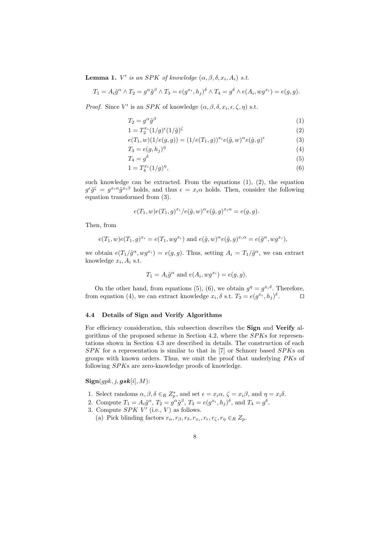**Lemma 1.** *V*<sup>*'*</sup> *is an SPK of knowledge*  $(\alpha, \beta, \delta, x_i, A_i)$  *s.t.* 

$$
T_1 = A_i \tilde{g}^\alpha \wedge T_2 = g^\alpha \tilde{g}^\beta \wedge T_3 = e(g^{x_i}, h_j)^\delta \wedge T_4 = g^\delta \wedge e(A_i, wg^{x_i}) = e(g, g).
$$

*Proof.* Since *V*' is an *SPK* of knowledge  $(\alpha, \beta, \delta, x_i, \epsilon, \zeta, \eta)$  s.t.

$$
T_2 = g^{\alpha} \tilde{g}^{\beta} \tag{1}
$$

$$
1 = T_2^{x_i} (1/g)^{\epsilon} (1/\tilde{g})^{\zeta}
$$
 (2)

$$
e(T_1, w)(1/e(g, g)) = (1/e(T_1, g))^{x_i} e(\tilde{g}, w)^{\alpha} e(\tilde{g}, g)^{\epsilon}
$$
\n
$$
(3)
$$

$$
T_3 = e(g, h_j)^\eta \tag{4}
$$

$$
T_4 = g^\delta \tag{5}
$$

$$
1 = T_4^{x_i} (1/g)^\eta,\t\t(6)
$$

such knowledge can be extracted. From the equations  $(1)$ ,  $(2)$ , the equation  $g^{\epsilon}\tilde{g}^{\zeta} = g^{x_i\alpha}\tilde{g}^{x_i\beta}$  holds, and thus  $\epsilon = x_i\alpha$  holds. Then, consider the following equation transformed from (3).

$$
e(T_1, w)e(T_1, g)^{x_i}/e(\tilde{g}, w)^{\alpha}e(\tilde{g}, g)^{x_i \alpha} = e(g, g).
$$

Then, from

$$
e(T_1, w)e(T_1, g)^{x_i} = e(T_1, wg^{x_i}) \text{ and } e(\tilde{g}, w)^{\alpha}e(\tilde{g}, g)^{x_i \alpha} = e(\tilde{g}^{\alpha}, wg^{x_i}),
$$

we obtain  $e(T_1/\tilde{g}^{\alpha}, wg^{x_i}) = e(g, g)$ . Thus, setting  $A_i = T_1/\tilde{g}^{\alpha}$ , we can extract knowledge  $x_i$ ,  $A_i$  s.t.

$$
T_1 = A_i \tilde{g}^{\alpha} \text{ and } e(A_i, wg^{x_i}) = e(g, g).
$$

On the other hand, from equations (5), (6), we obtain  $g^{\eta} = g^{x_i \delta}$ . Therefore, from equation (4), we can extract knowledge  $x_i$ ,  $\delta$  s.t.  $T_3 = e(g^{x_i}, h_j)^{\delta}$ . *ut*

## **4.4 Details of Sign and Verify Algorithms**

For efficiency consideration, this subsection describes the **Sign** and **Verify** algorithms of the proposed scheme in Section 4.2, where the *SPK*s for representations shown in Section 4.3 are described in details. The construction of each *SPK* for a representation is similar to that in [7] or Schnorr based *SPK*s on groups with known orders. Thus, we omit the proof that underlying *PK*s of following *SPK*s are zero-knowledge proofs of knowledge.

 $\textbf{Sign}(qpk, j, \textbf{gsk}[i], M)$ :

- 1. Select randoms  $\alpha, \beta, \delta \in_R Z_p^*$ , and set  $\epsilon = x_i \alpha, \zeta = x_i \beta$ , and  $\eta = x_i \delta$ .
- 2. Compute  $T_1 = A_i \tilde{g}^\alpha$ ,  $T_2 = g^\alpha \tilde{g}^\beta$ ,  $T_3 = e(g^{x_i}, h_j)^\delta$ , and  $T_4 = g^\delta$ .
- 3. Compute  $SPK V'$  (i.e.,  $V$ ) as follows.
	- (a) Pick blinding factors  $r_{\alpha}, r_{\beta}, r_{\delta}, r_{x_i}, r_{\epsilon}, r_{\zeta}, r_{\eta} \in_R Z_p$ .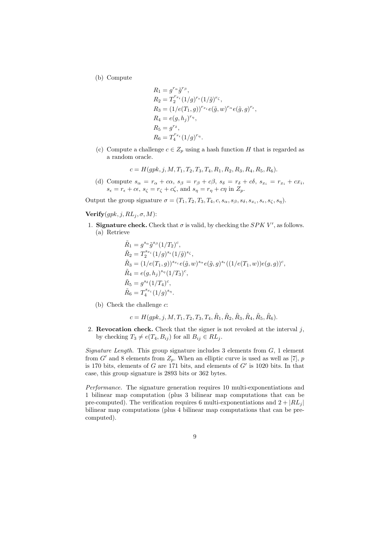(b) Compute

$$
R_1 = g^{r_{\alpha}} \tilde{g}^{r_{\beta}},
$$
  
\n
$$
R_2 = T_2^{r_{x_i}} (1/g)^{r_{\epsilon}} (1/\tilde{g})^{r_{\zeta}},
$$
  
\n
$$
R_3 = (1/e(T_1, g))^{r_{x_i}} e(\tilde{g}, w)^{r_{\alpha}} e(\tilde{g}, g)^{r_{\epsilon}},
$$
  
\n
$$
R_4 = e(g, h_j)^{r_{\eta}},
$$
  
\n
$$
R_5 = g^{r_{\delta}},
$$
  
\n
$$
R_6 = T_4^{r_{x_i}} (1/g)^{r_{\eta}}.
$$

(c) Compute a challenge  $c \in Z_p$  using a hash function *H* that is regarded as a random oracle.

$$
c = H(gpk, j, M, T_1, T_2, T_3, T_4, R_1, R_2, R_3, R_4, R_5, R_6).
$$

(d) Compute  $s_{\alpha} = r_{\alpha} + c\alpha$ ,  $s_{\beta} = r_{\beta} + c\beta$ ,  $s_{\delta} = r_{\delta} + c\delta$ ,  $s_{x_i} = r_{x_i} + cx_i$ ,  $s_{\epsilon} = r_{\epsilon} + c\epsilon$ ,  $s_{\zeta} = r_{\zeta} + c\zeta$ , and  $s_{\eta} = r_{\eta} + c\eta$  in  $Z_p$ .

Output the group signature  $\sigma = (T_1, T_2, T_3, T_4, c, s_\alpha, s_\beta, s_\delta, s_{x_i}, s_\epsilon, s_\zeta, s_\eta)$ .

 $$ 

1. **Signature check.** Check that  $\sigma$  is valid, by checking the *SPK V'*, as follows. (a) Retrieve

$$
\tilde{R}_1 = g^{s_{\alpha}} \tilde{g}^{s_{\beta}} (1/T_2)^c,
$$
\n
$$
\tilde{R}_2 = T_2^{s_{x_i}} (1/g)^{s_{\epsilon}} (1/\tilde{g})^{s_{\zeta}},
$$
\n
$$
\tilde{R}_3 = (1/e(T_1, g))^{s_{x_i}} e(\tilde{g}, w)^{s_{\alpha}} e(\tilde{g}, g)^{s_{\epsilon}} ((1/e(T_1, w))e(g, g))^c,
$$
\n
$$
\tilde{R}_4 = e(g, h_j)^{s_{\eta}} (1/T_3)^c,
$$
\n
$$
\tilde{R}_5 = g^{s_{\delta}} (1/T_4)^c,
$$
\n
$$
\tilde{R}_6 = T_4^{s_{x_i}} (1/g)^{s_{\eta}}.
$$

(b) Check the challenge *c*:

 $c = H(gpk, j, M, T_1, T_2, T_3, T_4, \tilde{R}_1, \tilde{R}_2, \tilde{R}_3, \tilde{R}_4, \tilde{R}_5, \tilde{R}_6).$ 

2. **Revocation check.** Check that the signer is not revoked at the interval  $j$ , by checking  $T_3 \neq e(T_4, B_{ij})$  for all  $B_{ij} \in RL_j$ .

*Signature Length.* This group signature includes 3 elements from *G*, 1 element from  $G'$  and 8 elements from  $Z_p$ . When an elliptic curve is used as well as [7], *p* is 170 bits, elements of *G* are 171 bits, and elements of  $G'$  is 1020 bits. In that case, this group signature is 2893 bits or 362 bytes.

*Performance.* The signature generation requires 10 multi-exponentiations and 1 bilinear map computation (plus 3 bilinear map computations that can be pre-computed). The verification requires 6 multi-exponentiations and  $2 + |RL_j|$ bilinear map computations (plus 4 bilinear map computations that can be precomputed).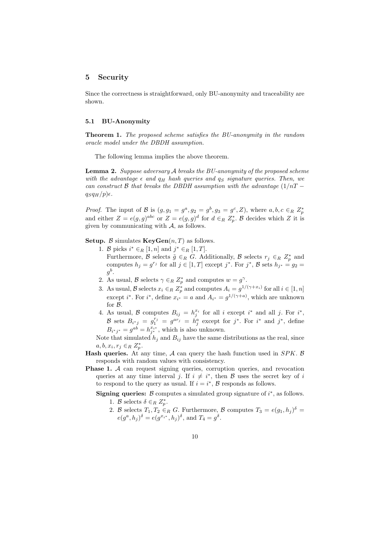# **5 Security**

Since the correctness is straightforward, only BU-anonymity and traceability are shown.

## **5.1 BU-Anonymity**

**Theorem 1.** *The proposed scheme satisfies the BU-anonymity in the random oracle model under the DBDH assumption.*

The following lemma implies the above theorem.

**Lemma 2.** *Suppose adversary A breaks the BU-anonymity of the proposed scheme with the advantage*  $\epsilon$  *and*  $q_H$  *hash queries and*  $q_S$  *signature queries. Then, we can construct B that breaks the DBDH assumption with the advantage* (1*/nT −*  $q_{S}q_{H}/p$  $\epsilon$ .

*Proof.* The input of *B* is  $(g, g_1 = g^a, g_2 = g^b, g_3 = g^c, Z)$ , where  $a, b, c \in_R Z_p^*$ and either  $Z = e(g, g)^{abc}$  or  $Z = e(g, g)^d$  for  $d \in_R Z_p^*$ . *B* decides which *Z* it is given by communicating with *A*, as follows.

**Setup.**  $\beta$  simulates **KeyGen** $(n, T)$  as follows.

- 1. *B* picks  $i^* \in_R [1, n]$  and  $j^* \in_R [1, T]$ . Furthermore,  $\beta$  selects  $\tilde{g} \in_R G$ . Additionally,  $\beta$  selects  $r_j \in_R Z_p^*$  and computes  $h_j = g^{r_j}$  for all  $j \in [1, T]$  except  $j^*$ . For  $j^*$ ,  $\mathcal{B}$  sets  $h_{j^*} = g_2 =$  $g^b$ .
- 2. As usual, *B* selects  $\gamma \in R \mathbb{Z}_p^*$  and computes  $w = g^{\gamma}$ .
- 3. As usual,  $\mathcal{B}$  selects  $x_i \in_R \mathbb{Z}_p^*$  and computes  $A_i = g^{1/(\gamma + x_i)}$  for all  $i \in [1, n]$ except *i*<sup>\*</sup>. For *i*<sup>\*</sup>, define  $x_{i^*} = a$  and  $A_{i^*} = g^{1/(\gamma + a)}$ , which are unknown for *B*.
- 4. As usual, *B* computes  $B_{ij} = h_j^{x_i}$  for all *i* except *i*<sup>\*</sup> and all *j*. For *i*<sup>\*</sup>, *B* sets  $B_{i^*j} = g_1^{r_j} = g^{ar_j} = h_j^a$  except for  $j^*$ . For  $i^*$  and  $j^*$ , define  $B_{i^*j^*} = g^{ab} = h^{x_{i^*}}_{j^*}$ , which is also unknown.

Note that simulated  $h_j$  and  $B_{ij}$  have the same distributions as the real, since  $a, b, x_i, r_j \in R \ Z_p^*$ .

- **Hash queries.** At any time, *A* can query the hash function used in *SPK*. *B* responds with random values with consistency.
- **Phase 1.** *A* can request signing queries, corruption queries, and revocation queries at any time interval *j*. If  $i \neq i^*$ , then *B* uses the secret key of *i* to respond to the query as usual. If  $i = i^*$ ,  $\mathcal{B}$  responds as follows.

**Signing queries:** *B* computes a simulated group signature of *i ∗* , as follows.

- 1. *B* selects  $\delta \in_R Z_p^*$ .
- 2. *B* selects  $T_1, T_2 \in_R G$ . Furthermore, *B* computes  $T_3 = e(g_1, h_j)^{\delta}$  $e(g^a, h_j)^\delta = e(g^{x_{i^*}}, h_j)^\delta$ , and  $T_4 = g^\delta$ .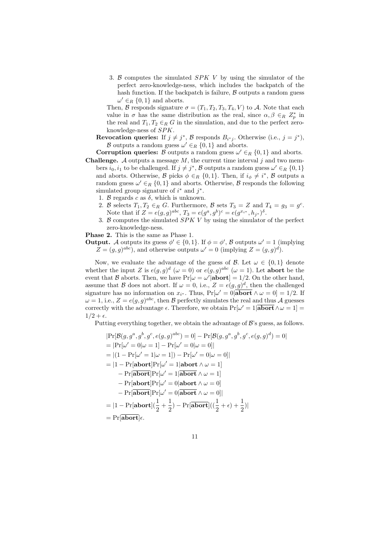3. *B* computes the simulated *SPK V* by using the simulator of the perfect zero-knowledge-ness, which includes the backpatch of the hash function. If the backpatch is failure,  $\beta$  outputs a random guess  $\omega' \in_R \{0, 1\}$  and aborts.

Then, *B* responds signature  $\sigma = (T_1, T_2, T_3, T_4, V)$  to *A*. Note that each value in  $\sigma$  has the same distribution as the real, since  $\alpha, \beta \in_R Z_p^*$  in the real and  $T_1, T_2 \in_R G$  in the simulation, and due to the perfect zeroknowledge-ness of *SPK*.

**Revocation queries:** If  $j \neq j^*$ ,  $\beta$  responds  $B_{i^*j}$ . Otherwise (i.e.,  $j = j^*$ ), *B* outputs a random guess  $\omega' \in_R \{0, 1\}$  and aborts.

**Corruption queries:** *B* outputs a random guess  $\omega' \in_R \{0, 1\}$  and aborts.

- **Challenge.**  $\mathcal A$  outputs a message  $M$ , the current time interval  $j$  and two members  $i_0, i_1$  to be challenged. If  $j \neq j^*$ ,  $\mathcal{B}$  outputs a random guess  $\omega' \in_R \{0, 1\}$ and aborts. Otherwise,  $\mathcal{B}$  picks  $\phi \in_R \{0,1\}$ . Then, if  $i_{\phi} \neq i^*$ ,  $\mathcal{B}$  outputs a random guess  $\omega' \in_R \{0, 1\}$  and aborts. Otherwise,  $\beta$  responds the following simulated group signature of  $i^*$  and  $j^*$ .
	- 1. *B* regards *c* as  $\delta$ , which is unknown.
	- 2. *B* selects  $T_1, T_2 \in_R G$ . Furthermore, *B* sets  $T_3 = Z$  and  $T_4 = g_3 = g^c$ . Note that if  $Z = e(g, g)^{abc}$ ,  $T_3 = e(g^a, g^b)^c = e(g^{x_i *}, h_{j^*})^{\delta}$ .
	- 3. *B* computes the simulated *SPK V* by using the simulator of the perfect zero-knowledge-ness.

**Phase 2.** This is the same as Phase 1.

**Output.** *A* outputs its guess  $\phi' \in \{0, 1\}$ . If  $\phi = \phi'$ ,  $\beta$  outputs  $\omega' = 1$  (implying  $Z = (g, g)^{abc}$ , and otherwise outputs  $\omega' = 0$  (implying  $Z = (g, g)^d$ ).

Now, we evaluate the advantage of the guess of *B*. Let  $\omega \in \{0,1\}$  denote whether the input *Z* is  $e(g,g)^d$  ( $\omega = 0$ ) or  $e(g,g)^{abc}$  ( $\omega = 1$ ). Let **abort** be the event that *B* aborts. Then, we have  $Pr[\omega = \omega' | \textbf{abort}] = 1/2$ . On the other hand, assume that *B* does not abort. If  $\omega = 0$ , i.e.,  $Z = e(g, g)^d$ , then the challenged signature has no information on  $x_i$ <sup>\*</sup>. Thus,  $Pr[\omega' = 0]$ **abort**  $\wedge \omega = 0] = 1/2$ . If  $\omega = 1$ , i.e.,  $Z = e(g, g)^{abc}$ , then *B* perfectly simulates the real and thus *A* guesses correctly with the advantage  $\epsilon$ . Therefore, we obtain  $Pr[\omega' = 1 | \textbf{abort} \wedge \omega = 1] =$  $1/2 + \epsilon$ .

Putting everything together, we obtain the advantage of *B*'s guess, as follows.

$$
|\Pr[\mathcal{B}(g, g^a, g^b, g^c, e(g, g)^{abc}) = 0] - \Pr[\mathcal{B}(g, g^a, g^b, g^c, e(g, g)^d) = 0]
$$
  
\n
$$
= |\Pr[\omega' = 0 | \omega = 1] - \Pr[\omega' = 0 | \omega = 0]|
$$
  
\n
$$
= |(1 - \Pr[\omega' = 1 | \omega = 1]) - \Pr[\omega' = 0 | \omega = 0]|
$$
  
\n
$$
= |1 - \Pr[\text{abort}]\Pr[\omega' = 1 | \text{abort} \wedge \omega = 1]
$$
  
\n
$$
- \Pr[\text{abort}]\Pr[\omega' = 0 | \text{abort} \wedge \omega = 0]
$$
  
\n
$$
- \Pr[\text{abort}]\Pr[\omega' = 0 | \text{abort} \wedge \omega = 0]|
$$
  
\n
$$
= |1 - \Pr[\text{abort}]\Gamma[\omega' = 0 | \text{abort} \wedge \omega = 0]|
$$
  
\n
$$
= |1 - \Pr[\text{abort}](\frac{1}{2} + \frac{1}{2}) - \Pr[\text{abort}]((\frac{1}{2} + \epsilon) + \frac{1}{2})|
$$
  
\n
$$
= \Pr[\text{abort}]\epsilon.
$$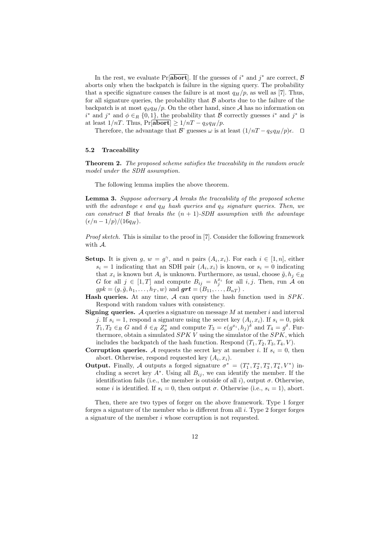In the rest, we evaluate Pr[**abort**]. If the guesses of  $i^*$  and  $j^*$  are correct,  $\beta$ aborts only when the backpatch is failure in the signing query. The probability that a specific signature causes the failure is at most  $q_H/p$ , as well as [7]. Thus, for all signature queries, the probability that  $\beta$  aborts due to the failure of the backpatch is at most  $q_{S}q_{H}/p$ . On the other hand, since A has no information on *i*<sup>\*</sup> and *j*<sup>\*</sup> and  $\phi \in_R \{0, 1\}$ , the probability that *B* correctly guesses *i*<sup>\*</sup> and *j*<sup>\*</sup> is at least  $1/nT$ . Thus,  $Pr[\overline{abort}] \geq 1/nT - q_Sq_H/p$ .

Therefore, the advantage that *B*' guesses  $\omega$  is at least  $(1/nT - q_S q_H/p)\epsilon$ .  $\Box$ 

#### **5.2 Traceability**

**Theorem 2.** *The proposed scheme satisfies the traceability in the random oracle model under the SDH assumption.*

The following lemma implies the above theorem.

**Lemma 3.** *Suppose adversary A breaks the traceability of the proposed scheme with the advantage*  $\epsilon$  *and*  $q_H$  *hash queries and*  $q_S$  *signature queries. Then, we can construct*  $\beta$  *that breaks the*  $(n + 1)$ *-SDH assumption with the advantage*  $(\epsilon/n - 1/p)/(16q_H)$ .

*Proof sketch.* This is similar to the proof in [7]. Consider the following framework with *A*.

- **Setup.** It is given *g*,  $w = g^{\gamma}$ , and *n* pairs  $(A_i, x_i)$ . For each  $i \in [1, n]$ , either  $s_i = 1$  indicating that an SDH pair  $(A_i, x_i)$  is known, or  $s_i = 0$  indicating that  $x_i$  is known but  $A_i$  is unknown. Furthermore, as usual, choose  $\tilde{g}, h_j \in R$ *G* for all  $j \in [1, T]$  and compute  $B_{ij} = h_j^{x_i}$  for all *i, j*. Then, run *A* on  $gpk = (g, \tilde{g}, h_1, \ldots, h_T, w)$  and  $\boldsymbol{grt} = (B_{11}, \ldots, B_{nT})$ .
- **Hash queries.** At any time, *A* can query the hash function used in *SPK*. Respond with random values with consistency.
- **Signing queries.** *A* queries a signature on message *M* at member *i* and interval *j*. If  $s_i = 1$ , respond a signature using the secret key  $(A_i, x_i)$ . If  $s_i = 0$ , pick  $T_1, T_2 \in_R G$  and  $\delta \in_R Z_p^*$  and compute  $T_3 = e(g^{x_i}, h_j)^{\delta}$  and  $T_4 = g^{\delta}$ . Furthermore, obtain a simulated *SPK V* using the simulator of the *SPK*, which includes the backpatch of the hash function. Respond  $(T_1, T_2, T_3, T_4, V)$ .
- **Corruption queries.** A requests the secret key at member *i*. If  $s_i = 0$ , then abort. Otherwise, respond requested key  $(A_i, x_i)$ .
- **Output.** Finally, *A* outputs a forged signature  $\sigma^* = (T_1^*, T_2^*, T_3^*, T_4^*, V^*)$  including a secret key  $A^*$ . Using all  $B_{ij}$ , we can identify the member. If the identification fails (i.e., the member is outside of all  $i$ ), output  $\sigma$ . Otherwise, some *i* is identified. If  $s_i = 0$ , then output  $\sigma$ . Otherwise (i.e.,  $s_i = 1$ ), abort.

Then, there are two types of forger on the above framework. Type 1 forger forges a signature of the member who is different from all *i*. Type 2 forger forges a signature of the member *i* whose corruption is not requested.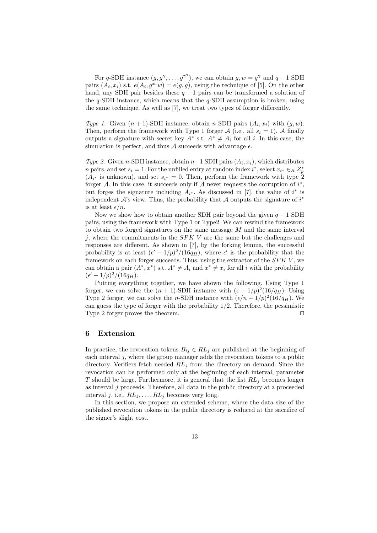For *q*-SDH instance  $(g, g^{\gamma}, \ldots, g^{\gamma^q})$ , we can obtain  $g, w = g^{\gamma}$  and  $q - 1$  SDH pairs  $(A_i, x_i)$  s.t.  $e(A_i, g^{x_i}w) = e(g, g)$ , using the technique of [5]. On the other hand, any SDH pair besides these *q −* 1 pairs can be transformed a solution of the *q*-SDH instance, which means that the *q*-SDH assumption is broken, using the same technique. As well as [7], we treat two types of forger differently.

*Type 1.* Given  $(n + 1)$ -SDH instance, obtain *n* SDH pairs  $(A_i, x_i)$  with  $(g, w)$ . Then, perform the framework with Type 1 forger *A* (i.e., all  $s_i = 1$ ). *A* finally outputs a signature with secret key  $A^*$  s.t.  $A^* \neq A_i$  for all *i*. In this case, the simulation is perfect, and thus  $A$  succeeds with advantage  $\epsilon$ .

*Type 2.* Given *n*-SDH instance, obtain  $n-1$  SDH pairs  $(A_i, x_i)$ , which distributes *n* pairs, and set  $s_i = 1$ . For the unfilled entry at random index  $i^*$ , select  $x_{i^*} \in_R Z_p^*$  $(A_{i^*}$  is unknown), and set  $s_{i^*} = 0$ . Then, perform the framework with type 2 forger *A*. In this case, it succeeds only if *A* never requests the corruption of  $i^*$ , but forges the signature including  $A_i^*$ . As discussed in [7], the value of  $i^*$  is independent *A*'s view. Thus, the probability that *A* outputs the signature of *i ∗* is at least  $\epsilon/n$ .

Now we show how to obtain another SDH pair beyond the given *q −* 1 SDH pairs, using the framework with Type 1 or Type2. We can rewind the framework to obtain two forged signatures on the same message *M* and the same interval *j*, where the commitments in the *SPK V* are the same but the challenges and responses are different. As shown in [7], by the forking lemma, the successful probability is at least  $(\epsilon' - 1/p)^2/(16q_H)$ , where  $\epsilon'$  is the probability that the framework on each forger succeeds. Thus, using the extractor of the *SPK V* , we can obtain a pair  $(A^*, x^*)$  s.t.  $A^* \neq A_i$  and  $x^* \neq x_i$  for all *i* with the probability  $(\epsilon' - 1/p)^2/(16q_H).$ 

Putting everything together, we have shown the following. Using Type 1 forger, we can solve the  $(n + 1)$ -SDH instance with  $(\epsilon - 1/p)^2 (16/q_H)$ . Using Type 2 forger, we can solve the *n*-SDH instance with  $(\epsilon/n - 1/p)^2(16/q_H)$ . We can guess the type of forger with the probability  $1/2$ . Therefore, the pessimistic Type 2 forger proves the theorem.

#### **6 Extension**

In practice, the revocation tokens  $B_{ij} \in RL_j$  are published at the beginning of each interval *j*, where the group manager adds the revocation tokens to a public directory. Verifiers fetch needed *RL<sup>j</sup>* from the directory on demand. Since the revocation can be performed only at the beginning of each interval, parameter *T* should be large. Furthermore, it is general that the list *RL<sup>j</sup>* becomes longer as interval *j* proceeds. Therefore, all data in the public directory at a proceeded interval *j*, i.e.,  $RL_1, \ldots, RL_j$  becomes very long.

In this section, we propose an extended scheme, where the data size of the published revocation tokens in the public directory is reduced at the sacrifice of the signer's slight cost.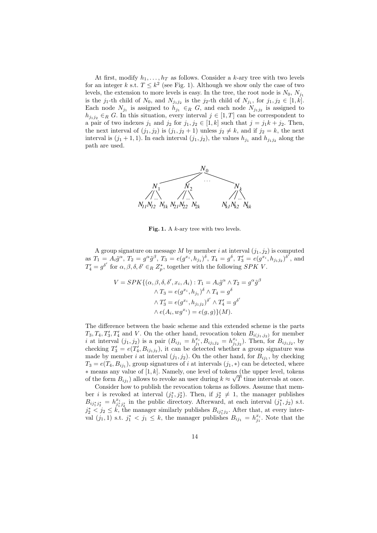At first, modify  $h_1, \ldots, h_T$  as follows. Consider a *k*-ary tree with two levels for an integer *k* s.t.  $T \leq k^2$  (see Fig. 1). Although we show only the case of two levels, the extension to more levels is easy. In the tree, the root node is  $N_0$ ,  $N_{j_1}$ is the *j*<sub>1</sub>-th child of  $N_0$ , and  $N_{j_1j_2}$  is the *j*<sub>2</sub>-th child of  $N_{j_1}$ , for  $j_1, j_2 \in [1, k]$ . Each node  $N_{j_1}$  is assigned to  $h_{j_1} \in_R G$ , and each node  $N_{j_1j_2}$  is assigned to  $h_{j_1j_2} \in_R G$ . In this situation, every interval  $j \in [1, T]$  can be correspondent to a pair of two indexes  $j_1$  and  $j_2$  for  $j_1, j_2 \in [1, k]$  such that  $j = j_1 k + j_2$ . Then, the next interval of  $(j_1, j_2)$  is  $(j_1, j_2 + 1)$  unless  $j_2 \neq k$ , and if  $j_2 = k$ , the next interval is  $(j_1 + 1, 1)$ . In each interval  $(j_1, j_2)$ , the values  $h_{j_1}$  and  $h_{j_1j_2}$  along the path are used.



**Fig. 1.** A *k*-ary tree with two levels.

A group signature on message  $M$  by member  $i$  at interval  $(j_1, j_2)$  is computed as  $T_1 = A_i \tilde{g}^{\alpha}$ ,  $T_2 = g^{\alpha} \tilde{g}^{\beta}$ ,  $T_3 = e(g^{x_i}, h_{j_1})^{\delta}$ ,  $T_4 = g^{\delta}$ ,  $T_3' = e(g^{x_i}, h_{j_1j_2})^{\delta'}$ , and  $T_4' = g^{\delta'}$  for  $\alpha, \beta, \delta, \delta' \in_R Z_p^*$ , together with the following *SPK V*.

$$
V = SPK\{(\alpha, \beta, \delta, \delta', x_i, A_i) : T_1 = A_i \tilde{g}^\alpha \wedge T_2 = g^\alpha \tilde{g}^\beta
$$

$$
\wedge T_3 = e(g^{x_i}, h_{j_1})^\delta \wedge T_4 = g^\delta
$$

$$
\wedge T'_3 = e(g^{x_i}, h_{j_1 j_2})^{\delta'} \wedge T'_4 = g^{\delta'}
$$

$$
\wedge e(A_i, wg^{x_i}) = e(g, g)\}(M).
$$

The difference between the basic scheme and this extended scheme is the parts  $T_3, T_4, T'_3, T'_4$  and *V*. On the other hand, revocation token  $B_{i(j_1,j_2)}$  for member *i* at interval  $(j_1, j_2)$  is a pair  $(B_{ij_1} = h_{j_1}^{x_i}, B_{ij_1j_2} = h_{j_1j_2}^{x_i})$ . Then, for  $B_{ij_1j_2}$ , by checking  $T_3' = e(T_4', B_{ij_1j_2})$ , it can be detected whether a group signature was made by member *i* at interval  $(j_1, j_2)$ . On the other hand, for  $B_{ij_1}$ , by checking  $T_3 = e(T_4, B_{ij_1})$ , group signatures of *i* at intervals  $(j_1, *)$  can be detected, where *∗* means any value of [1*, k*]. Namely, one level of tokens (the upper level, tokens of the form  $B_{ij_1}$ ) allows to revoke an user during  $k \approx \sqrt{T}$  time intervals at once.

Consider how to publish the revocation tokens as follows. Assume that member *i* is revoked at interval  $(j_1^*, j_2^*)$ . Then, if  $j_2^* \neq 1$ , the manager publishes  $B_{ij_1^*j_2^*} = h_{j_1^*j_2^*}^{x_i}$  in the public directory. Afterward, at each interval  $(j_1^*, j_2)$  s.t. *j*<sup> $*$ </sup>  $\frac{1}{2}$  ≤ *k*, the manager similarly publishes *B*<sub>*ij*<sup>∗</sup><sub>*j*</sub><sup>*i*</sup></sup>. After that, at every inter-</sub> val  $(j_1, 1)$  s.t.  $j_1^* < j_1 \leq k$ , the manager publishes  $B_{ij_1} = h_{j_1}^{x_i}$ . Note that the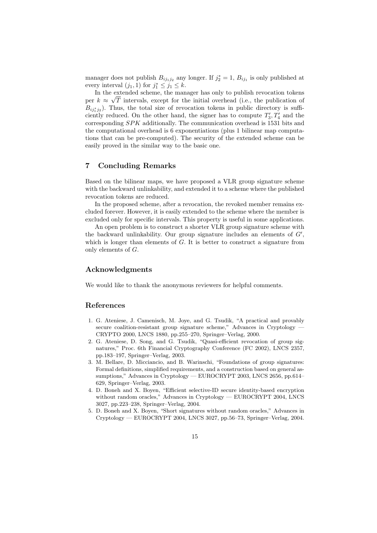manager does not publish  $B_{ij_1j_2}$  any longer. If  $j_2^* = 1$ ,  $B_{ij_1}$  is only published at every interval  $(j_1, 1)$  for  $j_1^* \leq j_1 \leq k$ .

In the extended scheme, the manager has only to publish revocation tokens per  $k \approx \sqrt{T}$  intervals, except for the initial overhead (i.e., the publication of  $B_{ij_1^*j_2}$ ). Thus, the total size of revocation tokens in public directory is sufficiently reduced. On the other hand, the signer has to compute  $T'_{3}, T'_{4}$  and the corresponding *SPK* additionally. The communication overhead is 1531 bits and the computational overhead is 6 exponentiations (plus 1 bilinear map computations that can be pre-computed). The security of the extended scheme can be easily proved in the similar way to the basic one.

# **7 Concluding Remarks**

Based on the bilinear maps, we have proposed a VLR group signature scheme with the backward unlinkability, and extended it to a scheme where the published revocation tokens are reduced.

In the proposed scheme, after a revocation, the revoked member remains excluded forever. However, it is easily extended to the scheme where the member is excluded only for specific intervals. This property is useful in some applications.

An open problem is to construct a shorter VLR group signature scheme with the backward unlinkability. Our group signature includes an elements of  $G'$ , which is longer than elements of *G*. It is better to construct a signature from only elements of *G*.

# **Acknowledgments**

We would like to thank the anonymous reviewers for helpful comments.

## **References**

- 1. G. Ateniese, J. Camenisch, M. Joye, and G. Tsudik, "A practical and provably secure coalition-resistant group signature scheme," Advances in Cryptology — CRYPTO 2000, LNCS 1880, pp.255–270, Springer–Verlag, 2000.
- 2. G. Ateniese, D. Song, and G. Tsudik, "Quasi-efficient revocation of group signatures," Proc. 6th Financial Cryptography Conference (FC 2002), LNCS 2357, pp.183–197, Springer–Verlag, 2003.
- 3. M. Bellare, D. Micciancio, and B. Warinschi, "Foundations of group signatures: Formal definitions, simplified requirements, and a construction based on general assumptions," Advances in Cryptology — EUROCRYPT 2003, LNCS 2656, pp.614– 629, Springer–Verlag, 2003.
- 4. D. Boneh and X. Boyen, "Efficient selective-ID secure identity-based encryption without random oracles," Advances in Cryptology — EUROCRYPT 2004, LNCS 3027, pp.223–238, Springer–Verlag, 2004.
- 5. D. Boneh and X. Boyen, "Short signatures without random oracles," Advances in Cryptology — EUROCRYPT 2004, LNCS 3027, pp.56–73, Springer–Verlag, 2004.